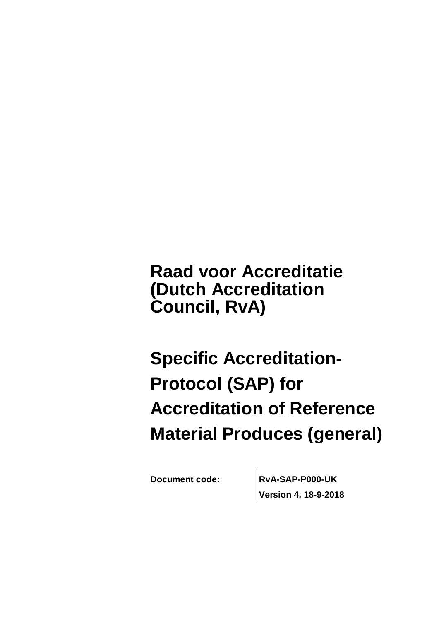**Raad voor Accreditatie (Dutch Accreditation Council, RvA)**

**Specific Accreditation-Protocol (SAP) for Accreditation of Reference Material Produces (general)**

**Document code: RvA-SAP-P000-UK Version 4, 18-9-2018**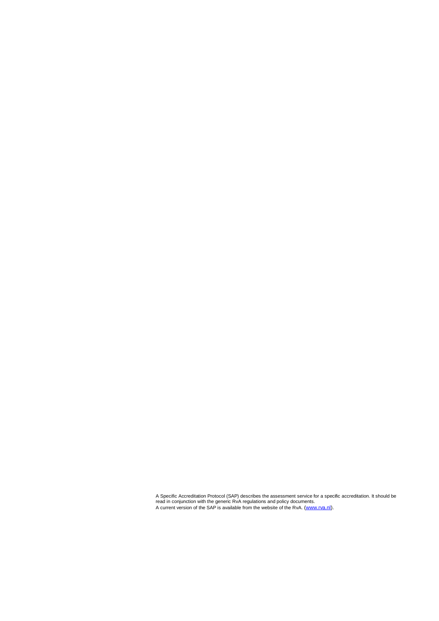A Specific Accreditation Protocol (SAP) describes the assessment service for a specific accreditation. It should be<br>read in conjunction with the generic RvA regulations and policy documents.<br>A current version of the SAP is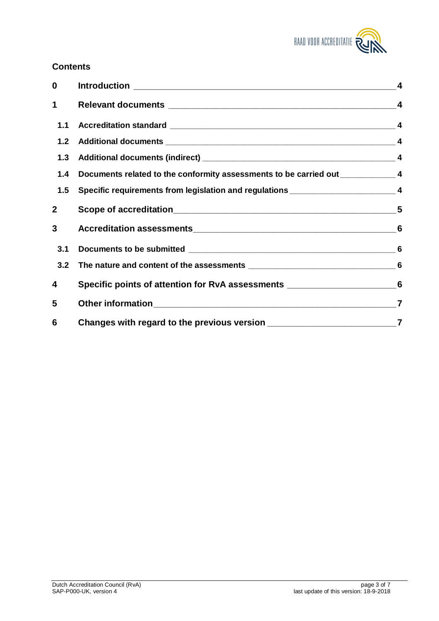

# **Contents**

| $\bf{0}$       |                                                                                     |                |
|----------------|-------------------------------------------------------------------------------------|----------------|
| 1              |                                                                                     |                |
| 1.1            |                                                                                     |                |
| 1.2            |                                                                                     |                |
|                |                                                                                     |                |
| 1.4            | Documents related to the conformity assessments to be carried out _______________ 4 |                |
| 1.5            | Specific requirements from legislation and regulations __________________________ 4 |                |
| $\overline{2}$ |                                                                                     |                |
| 3              |                                                                                     |                |
| 3.1            |                                                                                     |                |
| 3.2            |                                                                                     |                |
| 4              | Specific points of attention for RvA assessments _______________________________6   |                |
| 5              |                                                                                     |                |
| 6              |                                                                                     | $\overline{7}$ |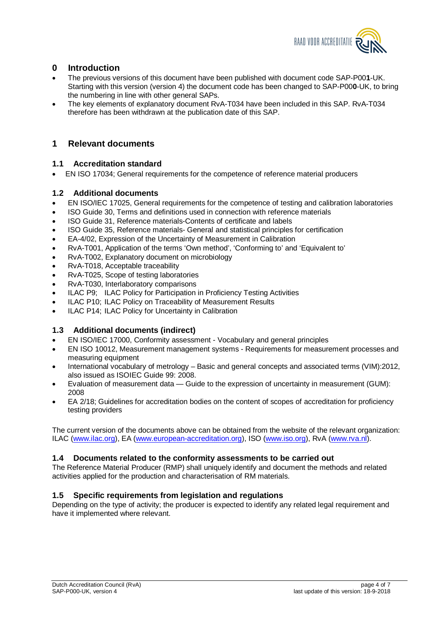

### **0 Introduction**

- x The previous versions of this document have been published with document code SAP-P00**1**-UK. Starting with this version (version 4) the document code has been changed to SAP-P00**0**-UK, to bring the numbering in line with other general SAPs.
- The key elements of explanatory document RvA-T034 have been included in this SAP. RvA-T034 therefore has been withdrawn at the publication date of this SAP.

### **1 Relevant documents**

### **1.1 Accreditation standard**

• EN ISO 17034; General requirements for the competence of reference material producers

### **1.2 Additional documents**

- EN ISO/IEC 17025, General requirements for the competence of testing and calibration laboratories
- ISO Guide 30, Terms and definitions used in connection with reference materials
- ISO Guide 31, Reference materials-Contents of certificate and labels
- ISO Guide 35, Reference materials- General and statistical principles for certification
- EA-4/02, Expression of the Uncertainty of Measurement in Calibration
- x RvA-T001, Application of the terms 'Own method', 'Conforming to' and 'Equivalent to'
- x RvA-T002, Explanatory document on microbiology
- x RvA-T018, Acceptable traceability
- x RvA-T025, Scope of testing laboratories
- x RvA-T030, Interlaboratory comparisons
- ILAC P9; ILAC Policy for Participation in Proficiency Testing Activities
- ILAC P10; ILAC Policy on Traceability of Measurement Results
- ILAC P14; ILAC Policy for Uncertainty in Calibration

### **1.3 Additional documents (indirect)**

- x EN ISO/IEC 17000, Conformity assessment Vocabulary and general principles
- x EN ISO 10012, Measurement management systems Requirements for measurement processes and measuring equipment
- International vocabulary of metrology Basic and general concepts and associated terms (VIM):2012, also issued as ISOIEC Guide 99: 2008.
- Evaluation of measurement data Guide to the expression of uncertainty in measurement (GUM): 2008
- EA 2/18; Guidelines for accreditation bodies on the content of scopes of accreditation for proficiency testing providers

The current version of the documents above can be obtained from the website of the relevant organization: ILAC [\(www.ilac.org\)](http://www.ilac.org/), EA [\(www.european-accreditation.org](http://www.european-accreditation.org/)), ISO [\(www.iso.org\)](http://www.iso.org/), RvA ([www.rva.nl\).](http://www.rva.nl)./)

### **1.4 Documents related to the conformity assessments to be carried out**

The Reference Material Producer (RMP) shall uniquely identify and document the methods and related activities applied for the production and characterisation of RM materials.

### **1.5 Specific requirements from legislation and regulations**

Depending on the type of activity; the producer is expected to identify any related legal requirement and have it implemented where relevant.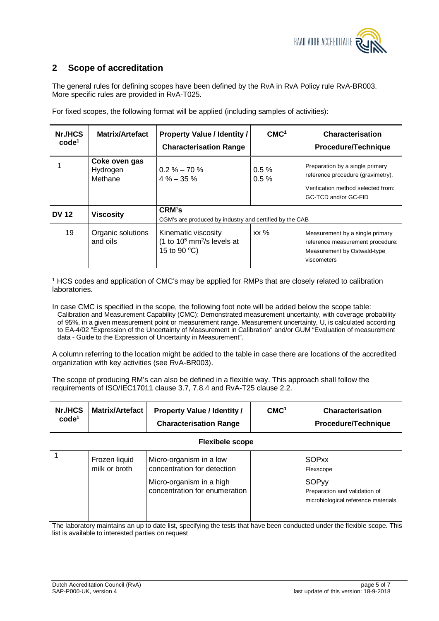

### **2 Scope of accreditation**

The general rules for defining scopes have been defined by the RvA in RvA Policy rule RvA-BR003. More specific rules are provided in RvA-T025.

| Nr./HCS<br>$\text{code}^1$ | <b>Matrix/Artefact</b>               | <b>Property Value / Identity /</b>                                                         | CMC <sup>1</sup> | Characterisation                                                                                                                   |
|----------------------------|--------------------------------------|--------------------------------------------------------------------------------------------|------------------|------------------------------------------------------------------------------------------------------------------------------------|
|                            |                                      | <b>Characterisation Range</b>                                                              |                  | <b>Procedure/Technique</b>                                                                                                         |
|                            | Coke oven gas<br>Hydrogen<br>Methane | $0.2\% - 70\%$<br>$4\% - 35\%$                                                             | $0.5 \%$<br>0.5% | Preparation by a single primary<br>reference procedure (gravimetry).<br>Verification method selected from:<br>GC-TCD and/or GC-FID |
| <b>DV 12</b>               | <b>Viscosity</b>                     | CRM's<br>CGM's are produced by industry and certified by the CAB                           |                  |                                                                                                                                    |
| 19                         | Organic solutions<br>and oils        | Kinematic viscosity<br>(1 to $10^5$ mm <sup>2</sup> /s levels at<br>15 to 90 $^{\circ}$ C) | $xx \%$          | Measurement by a single primary<br>reference measurement procedure:<br>Measurement by Ostwald-type<br>viscometers                  |

For fixed scopes, the following format will be applied (including samples of activities):

<sup>1</sup> HCS codes and application of CMC's may be applied for RMPs that are closely related to calibration laboratories.

In case CMC is specified in the scope, the following foot note will be added below the scope table: Calibration and Measurement Capability (CMC): Demonstrated measurement uncertainty, with coverage probability of 95%, in a given measurement point or measurement range. Measurement uncertainty, U, is calculated according to EA-4/02 "Expression of the Uncertainty of Measurement in Calibration" and/or GUM "Evaluation of measurement data - Guide to the Expression of Uncertainty in Measurement".

A column referring to the location might be added to the table in case there are locations of the accredited organization with key activities (see RvA-BR003).

The scope of producing RM's can also be defined in a flexible way. This approach shall follow the requirements of ISO/IEC17011 clause 3.7, 7.8.4 and RvA-T25 clause 2.2.

| Nr./HCS<br>code <sup>1</sup> | <b>Matrix/Artefact</b>         | <b>Property Value / Identity /</b><br><b>Characterisation Range</b>                                                 | CMC <sup>1</sup> | Characterisation<br>Procedure/Technique                                                                           |  |  |
|------------------------------|--------------------------------|---------------------------------------------------------------------------------------------------------------------|------------------|-------------------------------------------------------------------------------------------------------------------|--|--|
| <b>Flexibele scope</b>       |                                |                                                                                                                     |                  |                                                                                                                   |  |  |
|                              | Frozen liquid<br>milk or broth | Micro-organism in a low<br>concentration for detection<br>Micro-organism in a high<br>concentration for enumeration |                  | <b>SOPxx</b><br>Flexscope<br><b>SOPyy</b><br>Preparation and validation of<br>microbiological reference materials |  |  |

The laboratory maintains an up to date list, specifying the tests that have been conducted under the flexible scope. This list is available to interested parties on request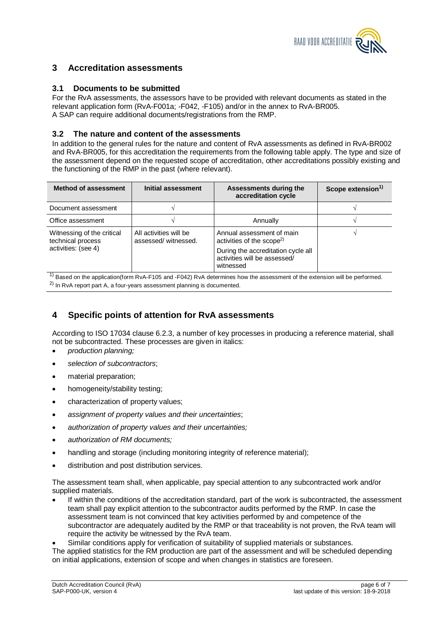

### **3 Accreditation assessments**

### **3.1 Documents to be submitted**

For the RvA assessments, the assessors have to be provided with relevant documents as stated in the relevant application form (RvA-F001a; -F042, -F105) and/or in the annex to RvA-BR005. A SAP can require additional documents/registrations from the RMP.

#### **3.2 The nature and content of the assessments**

In addition to the general rules for the nature and content of RvA assessments as defined in RvA-BR002 and RvA-BR005, for this accreditation the requirements from the following table apply. The type and size of the assessment depend on the requested scope of accreditation, other accreditations possibly existing and the functioning of the RMP in the past (where relevant).

| <b>Method of assessment</b>                                            | Initial assessment                            | Assessments during the<br>accreditation cycle                                                                                                         | Scope extension <sup>1)</sup> |
|------------------------------------------------------------------------|-----------------------------------------------|-------------------------------------------------------------------------------------------------------------------------------------------------------|-------------------------------|
| Document assessment                                                    |                                               |                                                                                                                                                       |                               |
| Office assessment                                                      |                                               | Annually                                                                                                                                              |                               |
| Witnessing of the critical<br>technical process<br>activities: (see 4) | All activities will be<br>assessed/witnessed. | Annual assessment of main<br>activities of the scope <sup>2)</sup><br>During the accreditation cycle all<br>activities will be assessed/<br>witnessed |                               |

 $1)$  Based on the application(form RvA-F105 and -F042) RvA determines how the assessment of the extension will be performed. 2) In RvA report part A, a four-years assessment planning is documented.

### **4 Specific points of attention for RvA assessments**

According to ISO 17034 clause 6.2.3, a number of key processes in producing a reference material, shall not be subcontracted. These processes are given in italics:

- x *production planning;*
- x *selection of subcontractors*;
- material preparation;
- homogeneity/stability testing;
- characterization of property values;
- x *assignment of property values and their uncertainties*;
- **•** authorization of property values and their uncertainties:
- x *authorization of RM documents;*
- handling and storage (including monitoring integrity of reference material);
- distribution and post distribution services.

The assessment team shall, when applicable, pay special attention to any subcontracted work and/or supplied materials.

If within the conditions of the accreditation standard, part of the work is subcontracted, the assessment team shall pay explicit attention to the subcontractor audits performed by the RMP. In case the assessment team is not convinced that key activities performed by and competence of the subcontractor are adequately audited by the RMP or that traceability is not proven, the RvA team will require the activity be witnessed by the RvA team.

Similar conditions apply for verification of suitability of supplied materials or substances.

The applied statistics for the RM production are part of the assessment and will be scheduled depending on initial applications, extension of scope and when changes in statistics are foreseen.